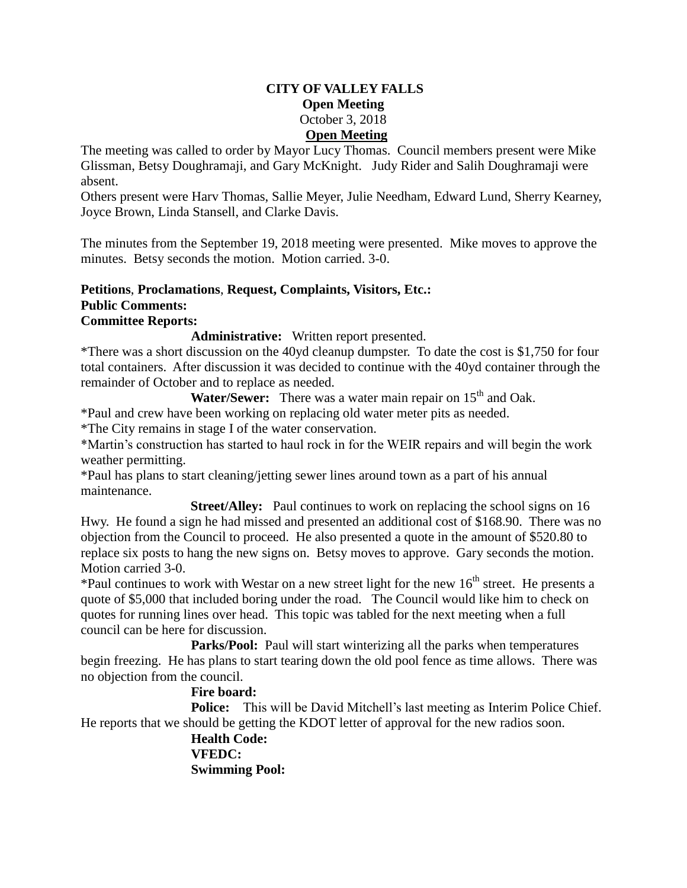#### **CITY OF VALLEY FALLS Open Meeting** October 3, 2018 **Open Meeting**

The meeting was called to order by Mayor Lucy Thomas. Council members present were Mike Glissman, Betsy Doughramaji, and Gary McKnight. Judy Rider and Salih Doughramaji were absent.

Others present were Harv Thomas, Sallie Meyer, Julie Needham, Edward Lund, Sherry Kearney, Joyce Brown, Linda Stansell, and Clarke Davis.

The minutes from the September 19, 2018 meeting were presented. Mike moves to approve the minutes. Betsy seconds the motion. Motion carried. 3-0.

## **Petitions**, **Proclamations**, **Request, Complaints, Visitors, Etc.: Public Comments:**

# **Committee Reports:**

**Administrative:** Written report presented.

\*There was a short discussion on the 40yd cleanup dumpster. To date the cost is \$1,750 for four total containers. After discussion it was decided to continue with the 40yd container through the remainder of October and to replace as needed.

**Water/Sewer:** There was a water main repair on 15<sup>th</sup> and Oak.

\*Paul and crew have been working on replacing old water meter pits as needed.

\*The City remains in stage I of the water conservation.

\*Martin's construction has started to haul rock in for the WEIR repairs and will begin the work weather permitting.

\*Paul has plans to start cleaning/jetting sewer lines around town as a part of his annual maintenance.

**Street/Alley:** Paul continues to work on replacing the school signs on 16 Hwy. He found a sign he had missed and presented an additional cost of \$168.90. There was no objection from the Council to proceed. He also presented a quote in the amount of \$520.80 to replace six posts to hang the new signs on. Betsy moves to approve. Gary seconds the motion. Motion carried 3-0.

\*Paul continues to work with Westar on a new street light for the new  $16<sup>th</sup>$  street. He presents a quote of \$5,000 that included boring under the road. The Council would like him to check on quotes for running lines over head. This topic was tabled for the next meeting when a full council can be here for discussion.

**Parks/Pool:** Paul will start winterizing all the parks when temperatures begin freezing. He has plans to start tearing down the old pool fence as time allows. There was no objection from the council.

### **Fire board:**

**Police:** This will be David Mitchell's last meeting as Interim Police Chief. He reports that we should be getting the KDOT letter of approval for the new radios soon.

> **Health Code: VFEDC: Swimming Pool:**